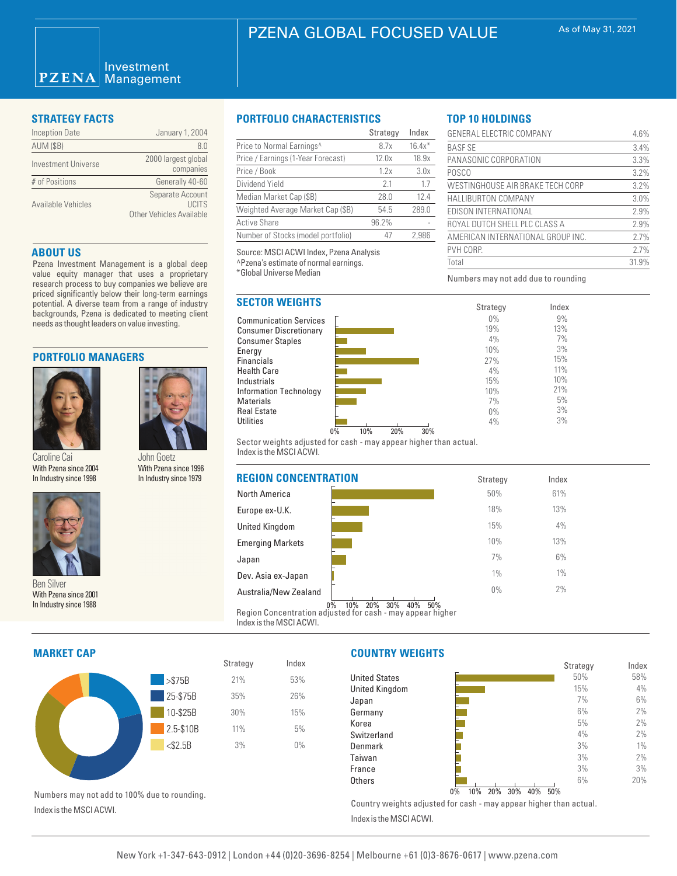#### Investment **PZENA** Management

| <b>Inception Date</b> | January 1, 2004                                               |
|-----------------------|---------------------------------------------------------------|
| <b>AUM (\$B)</b>      | 80                                                            |
| Investment Universe   | 2000 largest global<br>companies                              |
| # of Positions        | Generally 40-60                                               |
| Available Vehicles    | Separate Account<br>LICITS<br><b>Other Vehicles Available</b> |

### **ABOUT US**

Pzena Investment Management is a global deep value equity manager that uses a proprietary research process to buy companies we believe are priced significantly below their long-term earnings potential. A diverse team from a range of industry backgrounds, Pzena is dedicated to meeting client needs as thought leaders on value investing.

### **PORTFOLIO MANAGERS**



Caroline Cai With Pzena since 2004



Ben Silver With Pzena since 2001 In Industry since 1988

# With Pzena since 1996 In Industry since 1979

John Goetz

## **STRATEGY FACTS PORTFOLIO CHARACTERISTICS**

|                                    | Strategy | Index    |
|------------------------------------|----------|----------|
| Price to Normal Earnings^          | 8.7x     | $16.4x*$ |
| Price / Earnings (1-Year Forecast) | 12.0x    | 18.9x    |
| Price / Book                       | 1.2x     | 3.0x     |
| Dividend Yield                     | 21       | 1.7      |
| Median Market Cap (\$B)            | 28.0     | 12.4     |
| Weighted Average Market Cap (\$B)  | 54.5     | 289.0    |
| <b>Active Share</b>                | 96.2%    |          |
| Number of Stocks (model portfolio) | 47       | 2.986    |

Source: MSCI ACWI Index, Pzena Analysis

^Pzena's estimate of normal earnings.

\*Global Universe Median

# **SECTOR WEIGHTS**

Communication Services Consumer Discretionary Consumer Staples **Energy** Financials Health Care Industrials Information Technology Materials Real Estate **Utilities** 



Sector weights adjusted for cash - may appear higher than actual. Index is the MSCI ACWI.



Strategy Index

21% 35% 30% 11% 3% 53% 26% 15% 5%  $0%$ 

# **MARKET CAP**

Index is the MSCI ACWI.



# **COUNTRY WEIGHTS**

|                      |                        |      |       |      |         | Strategy | Index |
|----------------------|------------------------|------|-------|------|---------|----------|-------|
| <b>United States</b> |                        |      |       |      |         | 50%      | 58%   |
| United Kingdom       |                        |      |       |      |         | 15%      | 4%    |
| Japan                |                        |      |       |      |         | 7%       | 6%    |
| Germany              |                        |      |       |      |         | 6%       | 2%    |
| Korea                |                        |      |       |      |         | 5%       | 2%    |
| Switzerland          |                        |      |       |      |         | 4%       | 2%    |
| Denmark              |                        |      |       |      |         | 3%       | 1%    |
| Taiwan               |                        |      |       |      |         | 3%       | 2%    |
| France               |                        |      |       |      |         | 3%       | 3%    |
| Others               | 0 <sup>1</sup><br>2001 | 0.01 | 0.001 | 3001 | $-0.01$ | 6%       | 20%   |

0% 10% 20% 30% 40% 50%

Country weights adjusted for cash - may appear higher than actual. Index is the MSCI ACWI.

| GENERAL ELECTRIC COMPANY          | 4.6%  |
|-----------------------------------|-------|
| <b>BASE SE</b>                    | 3.4%  |
| PANASONIC CORPORATION             | 3.3%  |
| <b>POSCO</b>                      | 3.2%  |
| WESTINGHOUSE AIR BRAKE TECH CORP  | 3.2%  |
| <b>HALLIBURTON COMPANY</b>        | 3.0%  |
| EDISON INTERNATIONAL              | 2.9%  |
| ROYAL DUTCH SHELL PLC CLASS A     | 2.9%  |
| AMERICAN INTERNATIONAL GROUP INC. | 2.7%  |
| PVH CORP.                         | 2.7%  |
| Total                             | 31.9% |

Index 9% 13% 7% 3% 15% 11% 10% 21% 5% 3% 3%

Numbers may not add due to rounding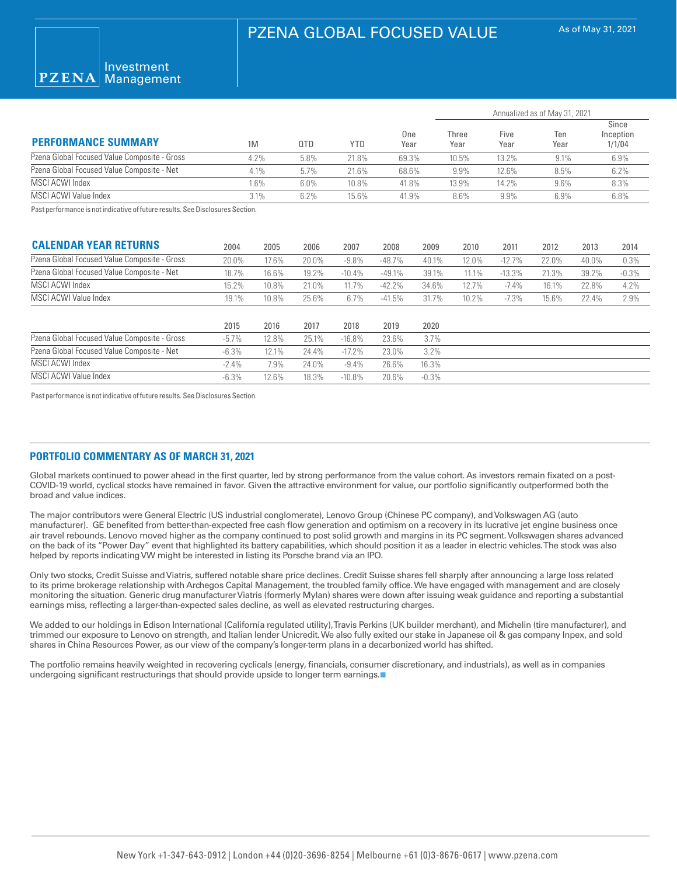

| <b>PERFORMANCE SUMMARY</b>                   |        | 0TD  | YTD   | One<br>Year | Annualized as of May 31, 2021 |              |             |                              |  |
|----------------------------------------------|--------|------|-------|-------------|-------------------------------|--------------|-------------|------------------------------|--|
|                                              | 1M     |      |       |             | Three<br>Year                 | Five<br>Year | Ten<br>Year | Since<br>Inception<br>1/1/04 |  |
| Pzena Global Focused Value Composite - Gross | 4.2%   | 5.8% | 21.8% | 69.3%       | 10.5%                         | 13.2%        | 9.1%        | 6.9%                         |  |
| Pzena Global Focused Value Composite - Net   | 4.1%   | 5.7% | 21.6% | 68.6%       | $9.9\%$                       | 12.6%        | 8.5%        | 6.2%                         |  |
| MSCI ACWI Index                              | .6%    | 6.0% | 10.8% | 41.8%       | 13.9%                         | 14.2%        | 9.6%        | 8.3%                         |  |
| MSCI ACWI Value Index                        | 3.1%   | 6.2% | 15.6% | 41.9%       | 8.6%                          | 9.9%         | 6.9%        | 6.8%                         |  |
| $\sim$ $\sim$ $\sim$ $\sim$ $\sim$<br>.      | $\sim$ |      |       |             |                               |              |             |                              |  |

Past performance is not indicative of future results. See Disclosures Section.

| <b>CALENDAR YEAR RETURNS</b>                 | 2004     | 2005  | 2006  | 2007     | 2008     | 2009     | 2010  | 2011     | 2012  | 2013  | 2014    |
|----------------------------------------------|----------|-------|-------|----------|----------|----------|-------|----------|-------|-------|---------|
| Pzena Global Focused Value Composite - Gross | 20.0%    | 17.6% | 20.0% | $-9.8\%$ | $-48.7%$ | 40.1%    | 12.0% | $-12.7%$ | 22.0% | 40.0% | 0.3%    |
| Pzena Global Focused Value Composite - Net   | 18.7%    | 16.6% | 19.2% | $-10.4%$ | $-49.1%$ | 39.1%    | 11.1% | $-13.3%$ | 21.3% | 39.2% | $-0.3%$ |
| MSCI ACWI Index                              | 15.2%    | 10.8% | 21.0% | 11.7%    | $-42.2%$ | 34.6%    | 12.7% | $-7.4%$  | 16.1% | 22.8% | 4.2%    |
| MSCI ACWI Value Index                        | 19.1%    | 10.8% | 25.6% | 6.7%     | $-41.5%$ | 31.7%    | 10.2% | $-7.3\%$ | 15.6% | 22.4% | 2.9%    |
|                                              |          |       |       |          |          |          |       |          |       |       |         |
|                                              | 2015     | 2016  | 2017  | 2018     | 2019     | 2020     |       |          |       |       |         |
| Pzena Global Focused Value Composite - Gross | $-5.7\%$ | 12.8% | 25.1% | $-16.8%$ | 23.6%    | 3.7%     |       |          |       |       |         |
| Pzena Global Focused Value Composite - Net   | $-6.3%$  | 12.1% | 24.4% | $-17.2%$ | 23.0%    | 3.2%     |       |          |       |       |         |
| MSCI ACWI Index                              | $-2.4\%$ | 7.9%  | 24.0% | $-9.4\%$ | 26.6%    | 16.3%    |       |          |       |       |         |
| MSCI ACWI Value Index                        | $-6.3%$  | 12.6% | 18.3% | $-10.8%$ | 20.6%    | $-0.3\%$ |       |          |       |       |         |

Past performance is not indicative of future results. See Disclosures Section.

### **PORTFOLIO COMMENTARY AS OF MARCH 31, 2021**

Global markets continued to power ahead in the first quarter, led by strong performance from the value cohort. As investors remain fixated on a post-COVID-19 world, cyclical stocks have remained in favor. Given the attractive environment for value, our portfolio significantly outperformed both the broad and value indices.

The major contributors were General Electric (US industrial conglomerate), Lenovo Group (Chinese PC company), and Volkswagen AG (auto manufacturer). GE benefited from better-than-expected free cash flow generation and optimism on a recovery in its lucrative jet engine business once air travel rebounds. Lenovo moved higher as the company continued to post solid growth and margins in its PC segment. Volkswagen shares advanced on the back of its "Power Day" event that highlighted its battery capabilities, which should position it as a leader in electric vehicles. The stock was also helped by reports indicating VW might be interested in listing its Porsche brand via an IPO.

Only two stocks, Credit Suisse and Viatris, suffered notable share price declines. Credit Suisse shares fell sharply after announcing a large loss related to its prime brokerage relationship with Archegos Capital Management, the troubled family office. We have engaged with management and are closely monitoring the situation. Generic drug manufacturer Viatris (formerly Mylan) shares were down after issuing weak guidance and reporting a substantial earnings miss, reflecting a larger-than-expected sales decline, as well as elevated restructuring charges.

We added to our holdings in Edison International (California regulated utility), Travis Perkins (UK builder merchant), and Michelin (tire manufacturer), and trimmed our exposure to Lenovo on strength, and Italian lender Unicredit. We also fully exited our stake in Japanese oil & gas company Inpex, and sold shares in China Resources Power, as our view of the company's longer-term plans in a decarbonized world has shifted.

The portfolio remains heavily weighted in recovering cyclicals (energy, financials, consumer discretionary, and industrials), as well as in companies undergoing significant restructurings that should provide upside to longer term earnings.■